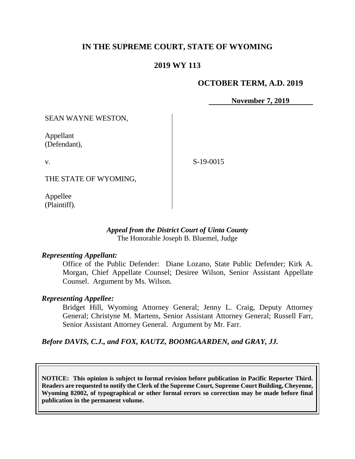# **IN THE SUPREME COURT, STATE OF WYOMING**

## **2019 WY 113**

#### **OCTOBER TERM, A.D. 2019**

**November 7, 2019**

SEAN WAYNE WESTON,

Appellant (Defendant),

v.

S-19-0015

THE STATE OF WYOMING,

Appellee (Plaintiff).

#### *Appeal from the District Court of Uinta County* The Honorable Joseph B. Bluemel, Judge

#### *Representing Appellant:*

Office of the Public Defender: Diane Lozano, State Public Defender; Kirk A. Morgan, Chief Appellate Counsel; Desiree Wilson, Senior Assistant Appellate Counsel. Argument by Ms. Wilson.

#### *Representing Appellee:*

Bridget Hill, Wyoming Attorney General; Jenny L. Craig, Deputy Attorney General; Christyne M. Martens, Senior Assistant Attorney General; Russell Farr, Senior Assistant Attorney General. Argument by Mr. Farr.

*Before DAVIS, C.J., and FOX, KAUTZ, BOOMGAARDEN, and GRAY, JJ.*

**NOTICE: This opinion is subject to formal revision before publication in Pacific Reporter Third. Readers are requested to notify the Clerk of the Supreme Court, Supreme Court Building, Cheyenne, Wyoming 82002, of typographical or other formal errors so correction may be made before final publication in the permanent volume.**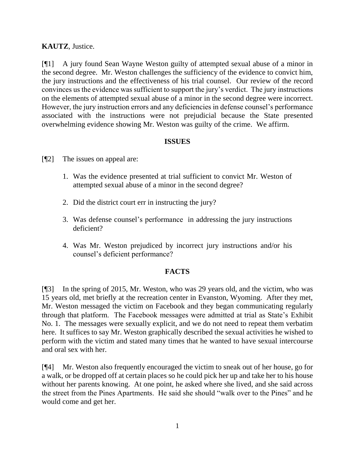## **KAUTZ**, Justice.

[¶1] A jury found Sean Wayne Weston guilty of attempted sexual abuse of a minor in the second degree. Mr. Weston challenges the sufficiency of the evidence to convict him, the jury instructions and the effectiveness of his trial counsel. Our review of the record convinces us the evidence was sufficient to support the jury's verdict. The jury instructions on the elements of attempted sexual abuse of a minor in the second degree were incorrect. However, the jury instruction errors and any deficiencies in defense counsel's performance associated with the instructions were not prejudicial because the State presented overwhelming evidence showing Mr. Weston was guilty of the crime. We affirm.

#### **ISSUES**

- [¶2] The issues on appeal are:
	- 1. Was the evidence presented at trial sufficient to convict Mr. Weston of attempted sexual abuse of a minor in the second degree?
	- 2. Did the district court err in instructing the jury?
	- 3. Was defense counsel's performance in addressing the jury instructions deficient?
	- 4. Was Mr. Weston prejudiced by incorrect jury instructions and/or his counsel's deficient performance?

## **FACTS**

[¶3] In the spring of 2015, Mr. Weston, who was 29 years old, and the victim, who was 15 years old, met briefly at the recreation center in Evanston, Wyoming. After they met, Mr. Weston messaged the victim on Facebook and they began communicating regularly through that platform. The Facebook messages were admitted at trial as State's Exhibit No. 1. The messages were sexually explicit, and we do not need to repeat them verbatim here. It suffices to say Mr. Weston graphically described the sexual activities he wished to perform with the victim and stated many times that he wanted to have sexual intercourse and oral sex with her.

[¶4] Mr. Weston also frequently encouraged the victim to sneak out of her house, go for a walk, or be dropped off at certain places so he could pick her up and take her to his house without her parents knowing. At one point, he asked where she lived, and she said across the street from the Pines Apartments. He said she should "walk over to the Pines" and he would come and get her.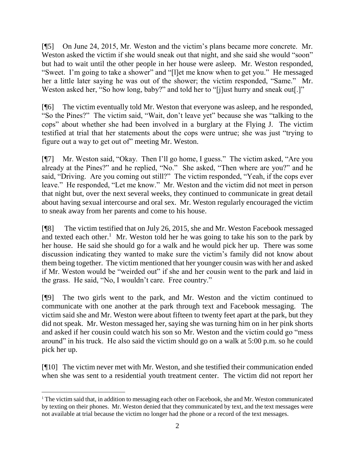[¶5] On June 24, 2015, Mr. Weston and the victim's plans became more concrete. Mr. Weston asked the victim if she would sneak out that night, and she said she would "soon" but had to wait until the other people in her house were asleep. Mr. Weston responded, "Sweet. I'm going to take a shower" and "[l]et me know when to get you." He messaged her a little later saying he was out of the shower; the victim responded, "Same." Mr. Weston asked her, "So how long, baby?" and told her to "[j]ust hurry and sneak out[.]"

[¶6] The victim eventually told Mr. Weston that everyone was asleep, and he responded, "So the Pines?" The victim said, "Wait, don't leave yet" because she was "talking to the cops" about whether she had been involved in a burglary at the Flying J. The victim testified at trial that her statements about the cops were untrue; she was just "trying to figure out a way to get out of" meeting Mr. Weston.

[¶7] Mr. Weston said, "Okay. Then I'll go home, I guess." The victim asked, "Are you already at the Pines?" and he replied, "No." She asked, "Then where are you?" and he said, "Driving. Are you coming out still?" The victim responded, "Yeah, if the cops ever leave." He responded, "Let me know." Mr. Weston and the victim did not meet in person that night but, over the next several weeks, they continued to communicate in great detail about having sexual intercourse and oral sex. Mr. Weston regularly encouraged the victim to sneak away from her parents and come to his house.

[¶8] The victim testified that on July 26, 2015, she and Mr. Weston Facebook messaged and texted each other.<sup>1</sup> Mr. Weston told her he was going to take his son to the park by her house. He said she should go for a walk and he would pick her up. There was some discussion indicating they wanted to make sure the victim's family did not know about them being together. The victim mentioned that her younger cousin was with her and asked if Mr. Weston would be "weirded out" if she and her cousin went to the park and laid in the grass. He said, "No, I wouldn't care. Free country."

[¶9] The two girls went to the park, and Mr. Weston and the victim continued to communicate with one another at the park through text and Facebook messaging. The victim said she and Mr. Weston were about fifteen to twenty feet apart at the park, but they did not speak. Mr. Weston messaged her, saying she was turning him on in her pink shorts and asked if her cousin could watch his son so Mr. Weston and the victim could go "mess around" in his truck. He also said the victim should go on a walk at 5:00 p.m. so he could pick her up.

[¶10] The victim never met with Mr. Weston, and she testified their communication ended when she was sent to a residential youth treatment center. The victim did not report her

<sup>&</sup>lt;sup>1</sup> The victim said that, in addition to messaging each other on Facebook, she and Mr. Weston communicated by texting on their phones. Mr. Weston denied that they communicated by text, and the text messages were not available at trial because the victim no longer had the phone or a record of the text messages.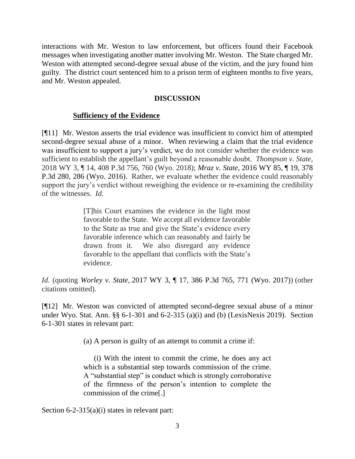interactions with Mr. Weston to law enforcement, but officers found their Facebook messages when investigating another matter involving Mr. Weston. The State charged Mr. Weston with attempted second-degree sexual abuse of the victim, and the jury found him guilty. The district court sentenced him to a prison term of eighteen months to five years, and Mr. Weston appealed.

#### **DISCUSSION**

#### **Sufficiency of the Evidence**

[¶11] Mr. Weston asserts the trial evidence was insufficient to convict him of attempted second-degree sexual abuse of a minor. When reviewing a claim that the trial evidence was insufficient to support a jury's verdict, we do not consider whether the evidence was sufficient to establish the appellant's guilt beyond a reasonable doubt. *Thompson v. State,*  2018 WY 3, ¶ 14, 408 P.3d 756, 760 (Wyo. 2018); *Mraz v. State,* 2016 WY 85, ¶ 19, 378 P.3d 280, 286 (Wyo. 2016). Rather, we evaluate whether the evidence could reasonably support the jury's verdict without reweighing the evidence or re-examining the credibility of the witnesses. *Id.* 

> [T]his Court examines the evidence in the light most favorable to the State. We accept all evidence favorable to the State as true and give the State's evidence every favorable inference which can reasonably and fairly be drawn from it. We also disregard any evidence favorable to the appellant that conflicts with the State's evidence.

*Id.* (quoting *Worley v. State,* 2017 WY 3, ¶ 17, 386 P.3d 765, 771 (Wyo. 2017)) (other citations omitted).

[¶12] Mr. Weston was convicted of attempted second-degree sexual abuse of a minor under Wyo. Stat. Ann. §§ 6-1-301 and 6-2-315 (a)(i) and (b) (LexisNexis 2019). Section 6-1-301 states in relevant part:

(a) A person is guilty of an attempt to commit a crime if:

(i) With the intent to commit the crime, he does any act which is a substantial step towards commission of the crime. A "substantial step" is conduct which is strongly corroborative of the firmness of the person's intention to complete the commission of the crime[.]

Section 6-2-315(a)(i) states in relevant part: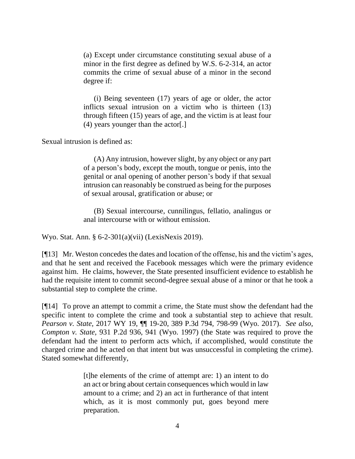(a) Except under circumstance constituting sexual abuse of a minor in the first degree as defined by W.S. 6-2-314, an actor commits the crime of sexual abuse of a minor in the second degree if:

(i) Being seventeen (17) years of age or older, the actor inflicts sexual intrusion on a victim who is thirteen (13) through fifteen (15) years of age, and the victim is at least four (4) years younger than the actor[.]

Sexual intrusion is defined as:

(A) Any intrusion, however slight, by any object or any part of a person's body, except the mouth, tongue or penis, into the genital or anal opening of another person's body if that sexual intrusion can reasonably be construed as being for the purposes of sexual arousal, gratification or abuse; or

(B) Sexual intercourse, cunnilingus, fellatio, analingus or anal intercourse with or without emission.

Wyo. Stat. Ann. § 6-2-301(a)(vii) (LexisNexis 2019).

[¶13] Mr. Weston concedes the dates and location of the offense, his and the victim's ages, and that he sent and received the Facebook messages which were the primary evidence against him. He claims, however, the State presented insufficient evidence to establish he had the requisite intent to commit second-degree sexual abuse of a minor or that he took a substantial step to complete the crime.

[¶14] To prove an attempt to commit a crime, the State must show the defendant had the specific intent to complete the crime and took a substantial step to achieve that result. *Pearson v. State,* 2017 WY 19, ¶¶ 19-20, 389 P.3d 794, 798-99 (Wyo. 2017). *See also, Compton v. State,* 931 P.2d 936, 941 (Wyo. 1997) (the State was required to prove the defendant had the intent to perform acts which, if accomplished, would constitute the charged crime and he acted on that intent but was unsuccessful in completing the crime). Stated somewhat differently,

> [t]he elements of the crime of attempt are: 1) an intent to do an act or bring about certain consequences which would in law amount to a crime; and 2) an act in furtherance of that intent which, as it is most commonly put, goes beyond mere preparation.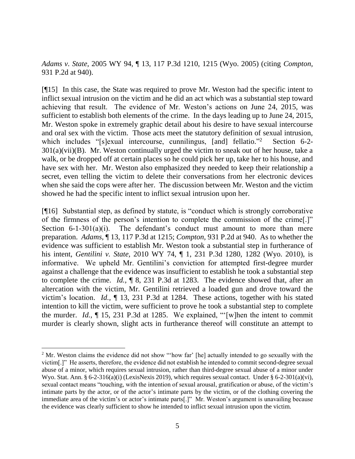*Adams v. State,* 2005 WY 94, ¶ 13, 117 P.3d 1210, 1215 (Wyo. 2005) (citing *Compton,*  931 P.2d at 940).

[¶15] In this case, the State was required to prove Mr. Weston had the specific intent to inflict sexual intrusion on the victim and he did an act which was a substantial step toward achieving that result. The evidence of Mr. Weston's actions on June 24, 2015, was sufficient to establish both elements of the crime. In the days leading up to June 24, 2015, Mr. Weston spoke in extremely graphic detail about his desire to have sexual intercourse and oral sex with the victim. Those acts meet the statutory definition of sexual intrusion, which includes "[s]exual intercourse, cunnilingus, [and] fellatio."<sup>2</sup> Section 6-2-301(a)(vii)(B). Mr. Weston continually urged the victim to sneak out of her house, take a walk, or be dropped off at certain places so he could pick her up, take her to his house, and have sex with her. Mr. Weston also emphasized they needed to keep their relationship a secret, even telling the victim to delete their conversations from her electronic devices when she said the cops were after her. The discussion between Mr. Weston and the victim showed he had the specific intent to inflict sexual intrusion upon her.

[¶16] Substantial step, as defined by statute, is "conduct which is strongly corroborative of the firmness of the person's intention to complete the commission of the crime[.]" Section  $6-1-301(a)(i)$ . The defendant's conduct must amount to more than mere preparation. *Adams,* ¶ 13, 117 P.3d at 1215; *Compton,* 931 P.2d at 940. As to whether the evidence was sufficient to establish Mr. Weston took a substantial step in furtherance of his intent, *Gentilini v. State,* 2010 WY 74, ¶ 1, 231 P.3d 1280, 1282 (Wyo. 2010), is informative. We upheld Mr. Gentilini's conviction for attempted first-degree murder against a challenge that the evidence was insufficient to establish he took a substantial step to complete the crime. *Id.,* ¶ 8, 231 P.3d at 1283. The evidence showed that, after an altercation with the victim, Mr. Gentilini retrieved a loaded gun and drove toward the victim's location. *Id.,* ¶ 13, 231 P.3d at 1284. These actions, together with his stated intention to kill the victim, were sufficient to prove he took a substantial step to complete the murder. *Id.,* ¶ 15, 231 P.3d at 1285. We explained, "'[w]hen the intent to commit murder is clearly shown, slight acts in furtherance thereof will constitute an attempt to

<sup>&</sup>lt;sup>2</sup> Mr. Weston claims the evidence did not show "'how far' [he] actually intended to go sexually with the victim[.]" He asserts, therefore, the evidence did not establish he intended to commit second-degree sexual abuse of a minor, which requires sexual intrusion, rather than third-degree sexual abuse of a minor under Wyo. Stat. Ann. § 6-2-316(a)(i) (LexisNexis 2019), which requires sexual contact. Under § 6-2-301(a)(vi), sexual contact means "touching, with the intention of sexual arousal, gratification or abuse, of the victim's intimate parts by the actor, or of the actor's intimate parts by the victim, or of the clothing covering the immediate area of the victim's or actor's intimate parts[.]" Mr. Weston's argument is unavailing because the evidence was clearly sufficient to show he intended to inflict sexual intrusion upon the victim.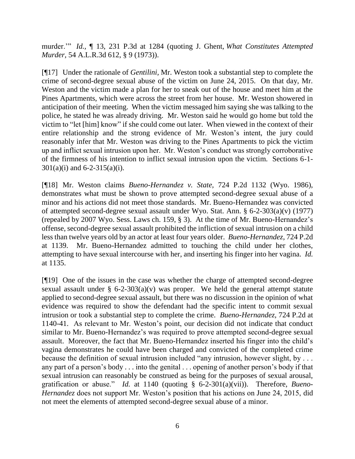murder.'" *Id.,* ¶ 13, 231 P.3d at 1284 (quoting J. Ghent, *What Constitutes Attempted Murder,* 54 A.L.R.3d 612, § 9 (1973)).

[¶17] Under the rationale of *Gentilini,* Mr. Weston took a substantial step to complete the crime of second-degree sexual abuse of the victim on June 24, 2015. On that day, Mr. Weston and the victim made a plan for her to sneak out of the house and meet him at the Pines Apartments, which were across the street from her house. Mr. Weston showered in anticipation of their meeting. When the victim messaged him saying she was talking to the police, he stated he was already driving. Mr. Weston said he would go home but told the victim to "let [him] know" if she could come out later. When viewed in the context of their entire relationship and the strong evidence of Mr. Weston's intent, the jury could reasonably infer that Mr. Weston was driving to the Pines Apartments to pick the victim up and inflict sexual intrusion upon her. Mr. Weston's conduct was strongly corroborative of the firmness of his intention to inflict sexual intrusion upon the victim. Sections 6-1-  $301(a)(i)$  and 6-2-315(a)(i).

[¶18] Mr. Weston claims *Bueno-Hernandez v. State,* 724 P.2d 1132 (Wyo. 1986), demonstrates what must be shown to prove attempted second-degree sexual abuse of a minor and his actions did not meet those standards. Mr. Bueno-Hernandez was convicted of attempted second-degree sexual assault under Wyo. Stat. Ann. § 6-2-303(a)(v) (1977) (repealed by 2007 Wyo. Sess. Laws ch. 159, § 3). At the time of Mr. Bueno-Hernandez's offense, second-degree sexual assault prohibited the infliction of sexual intrusion on a child less than twelve years old by an actor at least four years older. *Bueno-Hernandez,* 724 P.2d at 1139. Mr. Bueno-Hernandez admitted to touching the child under her clothes, attempting to have sexual intercourse with her, and inserting his finger into her vagina. *Id.*  at 1135.

[¶19] One of the issues in the case was whether the charge of attempted second-degree sexual assault under  $\S$  6-2-303(a)(v) was proper. We held the general attempt statute applied to second-degree sexual assault, but there was no discussion in the opinion of what evidence was required to show the defendant had the specific intent to commit sexual intrusion or took a substantial step to complete the crime. *Bueno-Hernandez,* 724 P.2d at 1140-41. As relevant to Mr. Weston's point, our decision did not indicate that conduct similar to Mr. Bueno-Hernandez's was required to prove attempted second-degree sexual assault. Moreover, the fact that Mr. Bueno-Hernandez inserted his finger into the child's vagina demonstrates he could have been charged and convicted of the completed crime because the definition of sexual intrusion included "any intrusion, however slight, by . . . any part of a person's body . . . into the genital . . . opening of another person's body if that sexual intrusion can reasonably be construed as being for the purposes of sexual arousal, gratification or abuse." *Id.* at 1140 (quoting § 6-2-301(a)(vii)). Therefore, *Bueno-Hernandez* does not support Mr. Weston's position that his actions on June 24, 2015, did not meet the elements of attempted second-degree sexual abuse of a minor.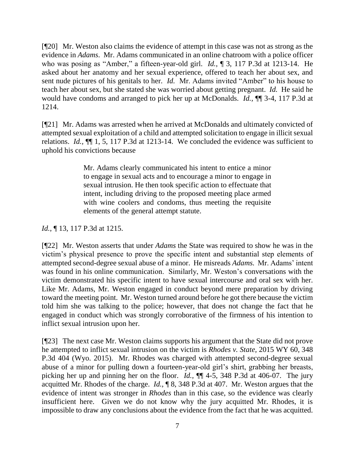[¶20] Mr. Weston also claims the evidence of attempt in this case was not as strong as the evidence in *Adams*. Mr. Adams communicated in an online chatroom with a police officer who was posing as "Amber," a fifteen-year-old girl. *Id.*, ¶ 3, 117 P.3d at 1213-14. He asked about her anatomy and her sexual experience, offered to teach her about sex, and sent nude pictures of his genitals to her. *Id.* Mr. Adams invited "Amber" to his house to teach her about sex, but she stated she was worried about getting pregnant. *Id.* He said he would have condoms and arranged to pick her up at McDonalds. *Id.,* ¶¶ 3-4, 117 P.3d at 1214.

[¶21] Mr. Adams was arrested when he arrived at McDonalds and ultimately convicted of attempted sexual exploitation of a child and attempted solicitation to engage in illicit sexual relations. *Id.,* ¶¶ 1, 5, 117 P.3d at 1213-14. We concluded the evidence was sufficient to uphold his convictions because

> Mr. Adams clearly communicated his intent to entice a minor to engage in sexual acts and to encourage a minor to engage in sexual intrusion. He then took specific action to effectuate that intent, including driving to the proposed meeting place armed with wine coolers and condoms, thus meeting the requisite elements of the general attempt statute.

# *Id.*, ¶ 13, 117 P.3d at 1215.

[¶22] Mr. Weston asserts that under *Adams* the State was required to show he was in the victim's physical presence to prove the specific intent and substantial step elements of attempted second-degree sexual abuse of a minor. He misreads *Adams.* Mr. Adams' intent was found in his online communication. Similarly, Mr. Weston's conversations with the victim demonstrated his specific intent to have sexual intercourse and oral sex with her. Like Mr. Adams, Mr. Weston engaged in conduct beyond mere preparation by driving toward the meeting point. Mr. Weston turned around before he got there because the victim told him she was talking to the police; however, that does not change the fact that he engaged in conduct which was strongly corroborative of the firmness of his intention to inflict sexual intrusion upon her.

[¶23] The next case Mr. Weston claims supports his argument that the State did not prove he attempted to inflict sexual intrusion on the victim is *Rhodes v. State,* 2015 WY 60, 348 P.3d 404 (Wyo. 2015). Mr. Rhodes was charged with attempted second-degree sexual abuse of a minor for pulling down a fourteen-year-old girl's shirt, grabbing her breasts, picking her up and pinning her on the floor. *Id.,* ¶¶ 4-5, 348 P.3d at 406-07. The jury acquitted Mr. Rhodes of the charge. *Id.,* ¶ 8, 348 P.3d at 407. Mr. Weston argues that the evidence of intent was stronger in *Rhodes* than in this case, so the evidence was clearly insufficient here. Given we do not know why the jury acquitted Mr. Rhodes, it is impossible to draw any conclusions about the evidence from the fact that he was acquitted.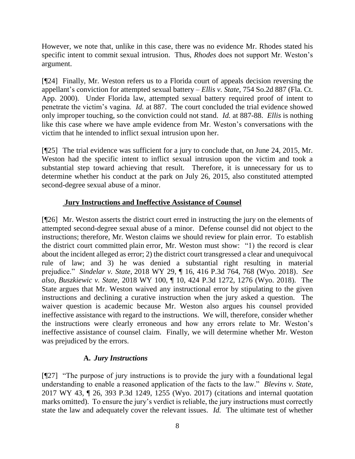However, we note that, unlike in this case, there was no evidence Mr. Rhodes stated his specific intent to commit sexual intrusion. Thus, *Rhodes* does not support Mr. Weston's argument.

[¶24] Finally, Mr. Weston refers us to a Florida court of appeals decision reversing the appellant's conviction for attempted sexual battery – *Ellis v. State,* 754 So.2d 887 (Fla. Ct. App. 2000). Under Florida law, attempted sexual battery required proof of intent to penetrate the victim's vagina. *Id.* at 887. The court concluded the trial evidence showed only improper touching, so the conviction could not stand. *Id.* at 887-88. *Ellis* is nothing like this case where we have ample evidence from Mr. Weston's conversations with the victim that he intended to inflict sexual intrusion upon her.

[¶25] The trial evidence was sufficient for a jury to conclude that, on June 24, 2015, Mr. Weston had the specific intent to inflict sexual intrusion upon the victim and took a substantial step toward achieving that result. Therefore, it is unnecessary for us to determine whether his conduct at the park on July 26, 2015, also constituted attempted second-degree sexual abuse of a minor.

# **Jury Instructions and Ineffective Assistance of Counsel**

[¶26] Mr. Weston asserts the district court erred in instructing the jury on the elements of attempted second-degree sexual abuse of a minor. Defense counsel did not object to the instructions; therefore, Mr. Weston claims we should review for plain error. To establish the district court committed plain error, Mr. Weston must show: "1) the record is clear about the incident alleged as error; 2) the district court transgressed a clear and unequivocal rule of law; and 3) he was denied a substantial right resulting in material prejudice." *Sindelar v. State,* 2018 WY 29, ¶ 16, 416 P.3d 764, 768 (Wyo. 2018). *See also, Buszkiewic v. State,* 2018 WY 100, ¶ 10, 424 P.3d 1272, 1276 (Wyo. 2018). The State argues that Mr. Weston waived any instructional error by stipulating to the given instructions and declining a curative instruction when the jury asked a question. The waiver question is academic because Mr. Weston also argues his counsel provided ineffective assistance with regard to the instructions. We will, therefore, consider whether the instructions were clearly erroneous and how any errors relate to Mr. Weston's ineffective assistance of counsel claim. Finally, we will determine whether Mr. Weston was prejudiced by the errors.

## **A.** *Jury Instructions*

[¶27] "The purpose of jury instructions is to provide the jury with a foundational legal understanding to enable a reasoned application of the facts to the law." *Blevins v. State,* 2017 WY 43, ¶ 26, 393 P.3d 1249, 1255 (Wyo. 2017) (citations and internal quotation marks omitted). To ensure the jury's verdict is reliable, the jury instructions must correctly state the law and adequately cover the relevant issues. *Id.* The ultimate test of whether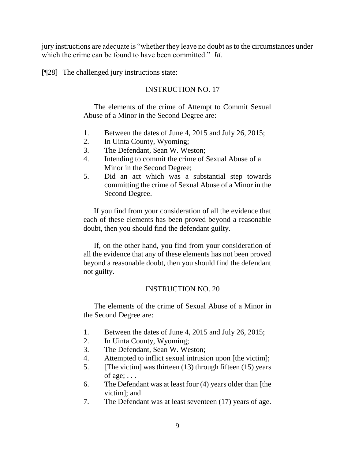jury instructions are adequate is "whether they leave no doubt as to the circumstances under which the crime can be found to have been committed." *Id.* 

[¶28] The challenged jury instructions state:

## INSTRUCTION NO. 17

The elements of the crime of Attempt to Commit Sexual Abuse of a Minor in the Second Degree are:

- 1. Between the dates of June 4, 2015 and July 26, 2015;
- 2. In Uinta County, Wyoming;
- 3. The Defendant, Sean W. Weston;
- 4. Intending to commit the crime of Sexual Abuse of a Minor in the Second Degree;
- 5. Did an act which was a substantial step towards committing the crime of Sexual Abuse of a Minor in the Second Degree.

If you find from your consideration of all the evidence that each of these elements has been proved beyond a reasonable doubt, then you should find the defendant guilty.

If, on the other hand, you find from your consideration of all the evidence that any of these elements has not been proved beyond a reasonable doubt, then you should find the defendant not guilty.

#### INSTRUCTION NO. 20

The elements of the crime of Sexual Abuse of a Minor in the Second Degree are:

- 1. Between the dates of June 4, 2015 and July 26, 2015;
- 2. In Uinta County, Wyoming;
- 3. The Defendant, Sean W. Weston;
- 4. Attempted to inflict sexual intrusion upon [the victim];
- 5. [The victim] was thirteen (13) through fifteen (15) years of age;  $\dots$
- 6. The Defendant was at least four (4) years older than [the victim]; and
- 7. The Defendant was at least seventeen (17) years of age.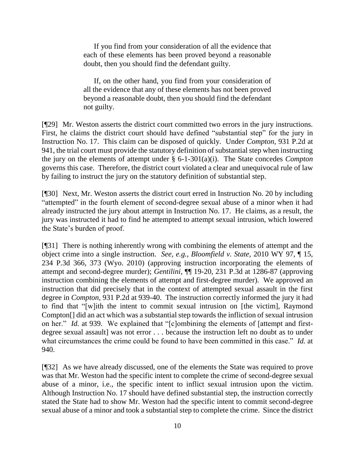If you find from your consideration of all the evidence that each of these elements has been proved beyond a reasonable doubt, then you should find the defendant guilty.

If, on the other hand, you find from your consideration of all the evidence that any of these elements has not been proved beyond a reasonable doubt, then you should find the defendant not guilty.

[¶29] Mr. Weston asserts the district court committed two errors in the jury instructions. First, he claims the district court should have defined "substantial step" for the jury in Instruction No. 17. This claim can be disposed of quickly. Under *Compton,* 931 P.2d at 941, the trial court must provide the statutory definition of substantial step when instructing the jury on the elements of attempt under § 6-1-301(a)(i). The State concedes *Compton*  governs this case. Therefore, the district court violated a clear and unequivocal rule of law by failing to instruct the jury on the statutory definition of substantial step.

[¶30] Next, Mr. Weston asserts the district court erred in Instruction No. 20 by including "attempted" in the fourth element of second-degree sexual abuse of a minor when it had already instructed the jury about attempt in Instruction No. 17. He claims, as a result, the jury was instructed it had to find he attempted to attempt sexual intrusion, which lowered the State's burden of proof.

[¶31] There is nothing inherently wrong with combining the elements of attempt and the object crime into a single instruction. *See, e.g.*, *Bloomfield v. State,* 2010 WY 97, ¶ 15, 234 P.3d 366, 373 (Wyo. 2010) (approving instruction incorporating the elements of attempt and second-degree murder); *Gentilini,* ¶¶ 19-20, 231 P.3d at 1286-87 (approving instruction combining the elements of attempt and first-degree murder). We approved an instruction that did precisely that in the context of attempted sexual assault in the first degree in *Compton,* 931 P.2d at 939-40. The instruction correctly informed the jury it had to find that "[w]ith the intent to commit sexual intrusion on [the victim], Raymond Compton[] did an act which was a substantial step towards the infliction of sexual intrusion on her." *Id.* at 939.We explained that "[c]ombining the elements of [attempt and firstdegree sexual assault] was not error . . . because the instruction left no doubt as to under what circumstances the crime could be found to have been committed in this case." *Id.* at 940.

[¶32] As we have already discussed, one of the elements the State was required to prove was that Mr. Weston had the specific intent to complete the crime of second-degree sexual abuse of a minor, i.e., the specific intent to inflict sexual intrusion upon the victim. Although Instruction No. 17 should have defined substantial step, the instruction correctly stated the State had to show Mr. Weston had the specific intent to commit second-degree sexual abuse of a minor and took a substantial step to complete the crime. Since the district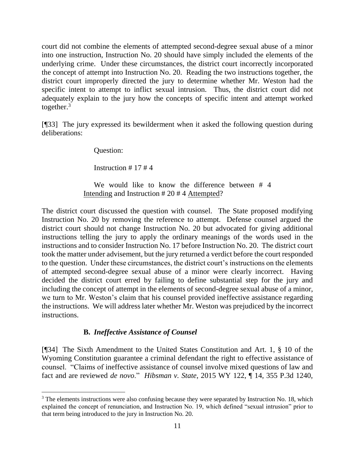court did not combine the elements of attempted second-degree sexual abuse of a minor into one instruction, Instruction No. 20 should have simply included the elements of the underlying crime. Under these circumstances, the district court incorrectly incorporated the concept of attempt into Instruction No. 20. Reading the two instructions together, the district court improperly directed the jury to determine whether Mr. Weston had the specific intent to attempt to inflict sexual intrusion. Thus, the district court did not adequately explain to the jury how the concepts of specific intent and attempt worked together. $3$ 

[¶33] The jury expressed its bewilderment when it asked the following question during deliberations:

Question:

Instruction # 17 # 4

We would like to know the difference between # 4 Intending and Instruction # 20 # 4 Attempted?

The district court discussed the question with counsel. The State proposed modifying Instruction No. 20 by removing the reference to attempt. Defense counsel argued the district court should not change Instruction No. 20 but advocated for giving additional instructions telling the jury to apply the ordinary meanings of the words used in the instructions and to consider Instruction No. 17 before Instruction No. 20. The district court took the matter under advisement, but the jury returned a verdict before the court responded to the question. Under these circumstances, the district court's instructions on the elements of attempted second-degree sexual abuse of a minor were clearly incorrect. Having decided the district court erred by failing to define substantial step for the jury and including the concept of attempt in the elements of second-degree sexual abuse of a minor, we turn to Mr. Weston's claim that his counsel provided ineffective assistance regarding the instructions. We will address later whether Mr. Weston was prejudiced by the incorrect instructions.

# **B.** *Ineffective Assistance of Counsel*

[¶34] The Sixth Amendment to the United States Constitution and Art. 1, § 10 of the Wyoming Constitution guarantee a criminal defendant the right to effective assistance of counsel. "Claims of ineffective assistance of counsel involve mixed questions of law and fact and are reviewed *de novo*." *Hibsman v. State*, 2015 WY 122, ¶ 14, 355 P.3d 1240,

 <sup>3</sup> The elements instructions were also confusing because they were separated by Instruction No. 18, which explained the concept of renunciation, and Instruction No. 19, which defined "sexual intrusion" prior to that term being introduced to the jury in Instruction No. 20.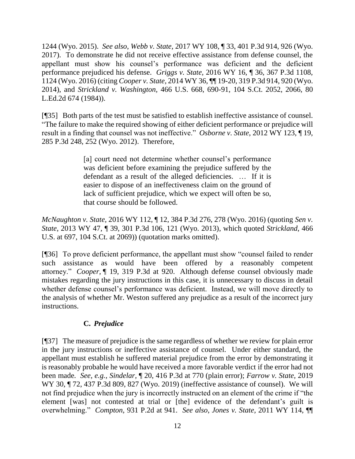1244 (Wyo. 2015). *See also*, *Webb v. State,* 2017 WY 108, ¶ 33, 401 P.3d 914, 926 (Wyo. 2017). To demonstrate he did not receive effective assistance from defense counsel, the appellant must show his counsel's performance was deficient and the deficient performance prejudiced his defense. *Griggs v. State,* 2016 WY 16, ¶ 36, 367 P.3d 1108, 1124 (Wyo. 2016) (citing *Cooper v. State,* 2014 WY 36, ¶¶ 19-20, 319 P.3d 914, 920 (Wyo. 2014), and *Strickland v. Washington,* 466 U.S. 668, 690-91, 104 S.Ct. 2052, 2066, 80 L.Ed.2d 674 (1984)).

[¶35] Both parts of the test must be satisfied to establish ineffective assistance of counsel. "The failure to make the required showing of either deficient performance or prejudice will result in a finding that counsel was not ineffective." *Osborne v. State*, 2012 WY 123, ¶ 19, 285 P.3d 248, 252 (Wyo. 2012). Therefore,

> [a] court need not determine whether counsel's performance was deficient before examining the prejudice suffered by the defendant as a result of the alleged deficiencies. … If it is easier to dispose of an ineffectiveness claim on the ground of lack of sufficient prejudice, which we expect will often be so, that course should be followed.

*McNaughton v. State,* 2016 WY 112, ¶ 12, 384 P.3d 276, 278 (Wyo. 2016) (quoting *Sen v. State*, 2013 WY 47, ¶ 39, 301 P.3d 106, 121 (Wyo. 2013), which quoted *Strickland*, 466 U.S. at 697, 104 S.Ct. at 2069)) (quotation marks omitted).

[¶36] To prove deficient performance, the appellant must show "counsel failed to render such assistance as would have been offered by a reasonably competent attorney." *Cooper,* ¶ 19, 319 P.3d at 920. Although defense counsel obviously made mistakes regarding the jury instructions in this case, it is unnecessary to discuss in detail whether defense counsel's performance was deficient. Instead, we will move directly to the analysis of whether Mr. Weston suffered any prejudice as a result of the incorrect jury instructions.

# **C.** *Prejudice*

[¶37] The measure of prejudice is the same regardless of whether we review for plain error in the jury instructions or ineffective assistance of counsel. Under either standard, the appellant must establish he suffered material prejudice from the error by demonstrating it is reasonably probable he would have received a more favorable verdict if the error had not been made*. See, e.g., Sindelar,* ¶ 20, 416 P.3d at 770 (plain error); *Farrow v. State,* 2019 WY 30, ¶ 72, 437 P.3d 809, 827 (Wyo. 2019) (ineffective assistance of counsel). We will not find prejudice when the jury is incorrectly instructed on an element of the crime if "the element [was] not contested at trial or [the] evidence of the defendant's guilt is overwhelming." *Compton,* 931 P.2d at 941. *See also*, *Jones v. State,* 2011 WY 114, ¶¶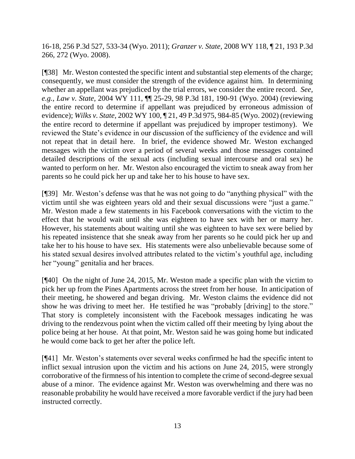16-18, 256 P.3d 527, 533-34 (Wyo. 2011); *Granzer v. State,* 2008 WY 118, ¶ 21, 193 P.3d 266, 272 (Wyo. 2008).

[¶38] Mr. Weston contested the specific intent and substantial step elements of the charge; consequently, we must consider the strength of the evidence against him. In determining whether an appellant was prejudiced by the trial errors, we consider the entire record. *See, e.g.*, *Law v. State,* 2004 WY 111, ¶¶ 25-29, 98 P.3d 181, 190-91 (Wyo. 2004) (reviewing the entire record to determine if appellant was prejudiced by erroneous admission of evidence); *Wilks v. State,* 2002 WY 100, ¶ 21, 49 P.3d 975, 984-85 (Wyo. 2002) (reviewing the entire record to determine if appellant was prejudiced by improper testimony). We reviewed the State's evidence in our discussion of the sufficiency of the evidence and will not repeat that in detail here. In brief, the evidence showed Mr. Weston exchanged messages with the victim over a period of several weeks and those messages contained detailed descriptions of the sexual acts (including sexual intercourse and oral sex) he wanted to perform on her. Mr. Weston also encouraged the victim to sneak away from her parents so he could pick her up and take her to his house to have sex.

[¶39] Mr. Weston's defense was that he was not going to do "anything physical" with the victim until she was eighteen years old and their sexual discussions were "just a game." Mr. Weston made a few statements in his Facebook conversations with the victim to the effect that he would wait until she was eighteen to have sex with her or marry her. However, his statements about waiting until she was eighteen to have sex were belied by his repeated insistence that she sneak away from her parents so he could pick her up and take her to his house to have sex. His statements were also unbelievable because some of his stated sexual desires involved attributes related to the victim's youthful age, including her "young" genitalia and her braces.

[¶40] On the night of June 24, 2015, Mr. Weston made a specific plan with the victim to pick her up from the Pines Apartments across the street from her house. In anticipation of their meeting, he showered and began driving. Mr. Weston claims the evidence did not show he was driving to meet her. He testified he was "probably [driving] to the store." That story is completely inconsistent with the Facebook messages indicating he was driving to the rendezvous point when the victim called off their meeting by lying about the police being at her house. At that point, Mr. Weston said he was going home but indicated he would come back to get her after the police left.

[¶41] Mr. Weston's statements over several weeks confirmed he had the specific intent to inflict sexual intrusion upon the victim and his actions on June 24, 2015, were strongly corroborative of the firmness of his intention to complete the crime of second-degree sexual abuse of a minor. The evidence against Mr. Weston was overwhelming and there was no reasonable probability he would have received a more favorable verdict if the jury had been instructed correctly.